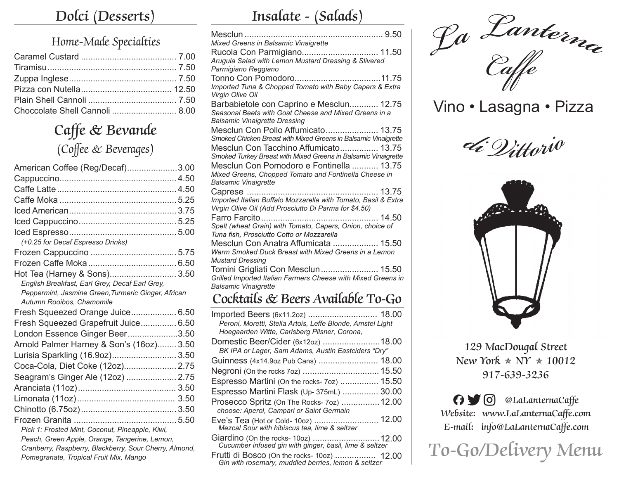## **Dolci (Desserts)**

#### Home-Made Specialties

| Choccolate Shell Cannoli  8.00 |  |
|--------------------------------|--|

## **Caffe & Bevande**

#### (Coffee & Beverages)

| American Coffee (Reg/Decaf)3.00                        |  |
|--------------------------------------------------------|--|
|                                                        |  |
|                                                        |  |
|                                                        |  |
|                                                        |  |
|                                                        |  |
|                                                        |  |
| (+0.25 for Decaf Espresso Drinks)                      |  |
|                                                        |  |
|                                                        |  |
| Hot Tea (Harney & Sons) 3.50                           |  |
| English Breakfast, Earl Grey, Decaf Earl Grey,         |  |
| Peppermint, Jasmine Green, Turmeric Ginger, African    |  |
| Autumn Rooibos, Chamomile                              |  |
| Fresh Squeezed Orange Juice 6.50                       |  |
| Fresh Squeezed Grapefruit Juice 6.50                   |  |
| London Essence Ginger Beer3.50                         |  |
| Arnold Palmer Harney & Son's (16oz) 3.50               |  |
| Lurisia Sparkling (16.9oz) 3.50                        |  |
| Coca-Cola, Diet Coke (12oz) 2.75                       |  |
| Seagram's Ginger Ale (12oz)  2.75                      |  |
|                                                        |  |
|                                                        |  |
|                                                        |  |
|                                                        |  |
| Pick 1: Frosted Mint, Coconut, Pineapple, Kiwi,        |  |
| Peach, Green Apple, Orange, Tangerine, Lemon,          |  |
| Cranberry, Raspberry, Blackberry, Sour Cherry, Almond, |  |
| Pomegranate, Tropical Fruit Mix, Mango                 |  |

## **Insalate - (Salads)**

| Mixed Greens in Balsamic Vinaigrette                                                                                    |
|-------------------------------------------------------------------------------------------------------------------------|
| Rucola Con Parmigiano 11.50                                                                                             |
| Arugula Salad with Lemon Mustard Dressing & Slivered<br>Parmigiano Reggiano                                             |
|                                                                                                                         |
| Imported Tuna & Chopped Tomato with Baby Capers & Extra                                                                 |
| Virgin Olive Oil                                                                                                        |
| Barbabietole con Caprino e Mesclun 12.75                                                                                |
| Seasonal Beets with Goat Cheese and Mixed Greens in a                                                                   |
| <b>Balsamic Vinaigrette Dressing</b>                                                                                    |
| Mesclun Con Pollo Affumicato 13.75                                                                                      |
| Smoked Chicken Breast with Mixed Greens in Balsamic Vinaigrette                                                         |
| Mesclun Con Tacchino Affumicato 13.75                                                                                   |
| Smoked Turkey Breast with Mixed Greens in Balsamic Vinaigrette                                                          |
| Mesclun Con Pomodoro e Fontinella  13.75                                                                                |
| Mixed Greens, Chopped Tomato and Fontinella Cheese in                                                                   |
| <b>Balsamic Vinaigrette</b>                                                                                             |
|                                                                                                                         |
| Imported Italian Buffalo Mozzarella with Tomato, Basil & Extra<br>Virgin Olive Oil (Add Prosciutto Di Parma for \$4.50) |
|                                                                                                                         |
| Spelt (wheat Grain) with Tomato, Capers, Onion, choice of                                                               |
| Tuna fish, Prosciutto Cotto or Mozzarella                                                                               |
| Mesclun Con Anatra Affumicata  15.50                                                                                    |
| Warm Smoked Duck Breast with Mixed Greens in a Lemon                                                                    |
| <b>Mustard Dressing</b>                                                                                                 |
| Tomini Grigliati Con Mesclun 15.50                                                                                      |
| Grilled Imported Italian Farmers Cheese with Mixed Greens in                                                            |
| <b>Balsamic Vinaigrette</b>                                                                                             |
| Cocktails & Beers Available To-Go                                                                                       |
| Imported Beers (6x11.2oz)  18.00                                                                                        |
| Peroni, Moretti, Stella Artois, Leffe Blonde, Amstel Light                                                              |
| Hoegaarden Witte, Carlsberg Pilsner, Corona,                                                                            |
| Domestic Beer/Cider (6x12oz) 18.00                                                                                      |
| BK IPA or Lager, Sam Adams, Austin Eastciders "Dry"                                                                     |
| Guinness (4x14.9oz Pub Cans)  18.00                                                                                     |
| Negroni (On the rocks 7oz)  15.50                                                                                       |
| Espresso Martini (On the rocks- 7oz)  15.50                                                                             |
| Espresso Martini Flask (Up- 375mL)  30.00                                                                               |
|                                                                                                                         |
| Prosecco Spritz (On The Rocks- 7oz)  12.00<br>choose: Aperol, Campari or Saint Germain                                  |
|                                                                                                                         |
| Eve's Tea (Hot or Cold-10oz)  12.00<br>Mezcal Sour with hibiscus tea, lime & seltzer                                    |
|                                                                                                                         |
| Giardino (On the rocks- 10oz)  12.00<br>Cucumber infused gin with ginger, basil, lime & seltzer                         |

*Caffe*

Vino • Lasagna • Pizza

*d<sup>i</sup> Vittori<sup>o</sup>*



#### **129 MacDougal Street**  $New$  York  $\ast$  NY  $\ast$  10012 **917-639-3236**



**To-Go/Delivery Menu**